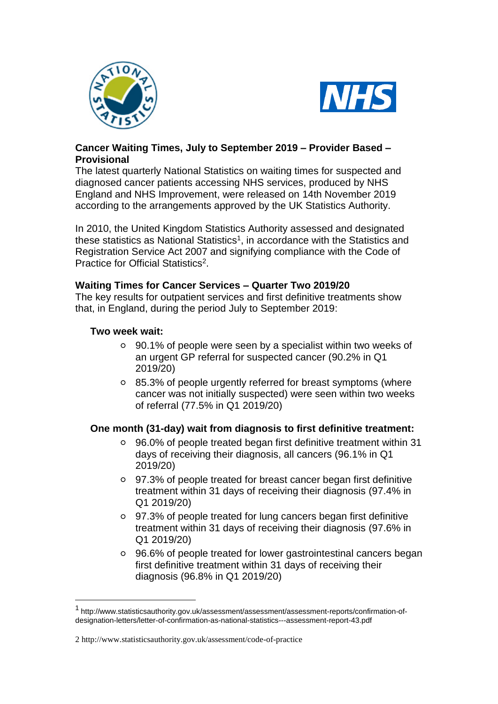



## **Cancer Waiting Times, July to September 2019 – Provider Based – Provisional**

The latest quarterly National Statistics on waiting times for suspected and diagnosed cancer patients accessing NHS services, produced by NHS England and NHS Improvement, were released on 14th November 2019 according to the arrangements approved by the UK Statistics Authority.

In 2010, the United Kingdom Statistics Authority assessed and designated these statistics as National Statistics<sup>1</sup>, in accordance with the Statistics and Registration Service Act 2007 and signifying compliance with the Code of Practice for Official Statistics<sup>2</sup>.

#### **Waiting Times for Cancer Services – Quarter Two 2019/20**

The key results for outpatient services and first definitive treatments show that, in England, during the period July to September 2019:

## **Two week wait:**

1

- 90.1% of people were seen by a specialist within two weeks of an urgent GP referral for suspected cancer (90.2% in Q1 2019/20)
- 85.3% of people urgently referred for breast symptoms (where cancer was not initially suspected) were seen within two weeks of referral (77.5% in Q1 2019/20)

#### **One month (31-day) wait from diagnosis to first definitive treatment:**

- 96.0% of people treated began first definitive treatment within 31 days of receiving their diagnosis, all cancers (96.1% in Q1 2019/20)
- 97.3% of people treated for breast cancer began first definitive treatment within 31 days of receiving their diagnosis (97.4% in Q1 2019/20)
- 97.3% of people treated for lung cancers began first definitive treatment within 31 days of receiving their diagnosis (97.6% in Q1 2019/20)
- 96.6% of people treated for lower gastrointestinal cancers began first definitive treatment within 31 days of receiving their diagnosis (96.8% in Q1 2019/20)

<sup>1</sup> [http://www.statisticsauthority.gov.uk/assessment/assessment/assessment-reports/confirmation-of](http://www.statisticsauthority.gov.uk/assessment/assessment/assessment-reports/confirmation-of-designation-letters/letter-of-confirmation-as-national-statistics---assessment-report-43.pdf)[designation-letters/letter-of-confirmation-as-national-statistics---assessment-report-43.pdf](http://www.statisticsauthority.gov.uk/assessment/assessment/assessment-reports/confirmation-of-designation-letters/letter-of-confirmation-as-national-statistics---assessment-report-43.pdf)

<sup>2</sup> <http://www.statisticsauthority.gov.uk/assessment/code-of-practice>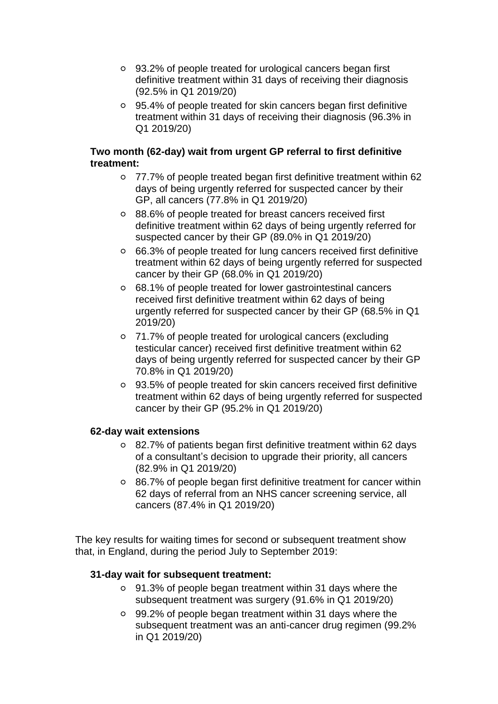- 93.2% of people treated for urological cancers began first definitive treatment within 31 days of receiving their diagnosis (92.5% in Q1 2019/20)
- 95.4% of people treated for skin cancers began first definitive treatment within 31 days of receiving their diagnosis (96.3% in Q1 2019/20)

## **Two month (62-day) wait from urgent GP referral to first definitive treatment:**

- 77.7% of people treated began first definitive treatment within 62 days of being urgently referred for suspected cancer by their GP, all cancers (77.8% in Q1 2019/20)
- 88.6% of people treated for breast cancers received first definitive treatment within 62 days of being urgently referred for suspected cancer by their GP (89.0% in Q1 2019/20)
- 66.3% of people treated for lung cancers received first definitive treatment within 62 days of being urgently referred for suspected cancer by their GP (68.0% in Q1 2019/20)
- 68.1% of people treated for lower gastrointestinal cancers received first definitive treatment within 62 days of being urgently referred for suspected cancer by their GP (68.5% in Q1 2019/20)
- 71.7% of people treated for urological cancers (excluding testicular cancer) received first definitive treatment within 62 days of being urgently referred for suspected cancer by their GP 70.8% in Q1 2019/20)
- 93.5% of people treated for skin cancers received first definitive treatment within 62 days of being urgently referred for suspected cancer by their GP (95.2% in Q1 2019/20)

# **62-day wait extensions**

- 82.7% of patients began first definitive treatment within 62 days of a consultant's decision to upgrade their priority, all cancers (82.9% in Q1 2019/20)
- 86.7% of people began first definitive treatment for cancer within 62 days of referral from an NHS cancer screening service, all cancers (87.4% in Q1 2019/20)

The key results for waiting times for second or subsequent treatment show that, in England, during the period July to September 2019:

# **31-day wait for subsequent treatment:**

- 91.3% of people began treatment within 31 days where the subsequent treatment was surgery (91.6% in Q1 2019/20)
- 99.2% of people began treatment within 31 days where the subsequent treatment was an anti-cancer drug regimen (99.2% in Q1 2019/20)